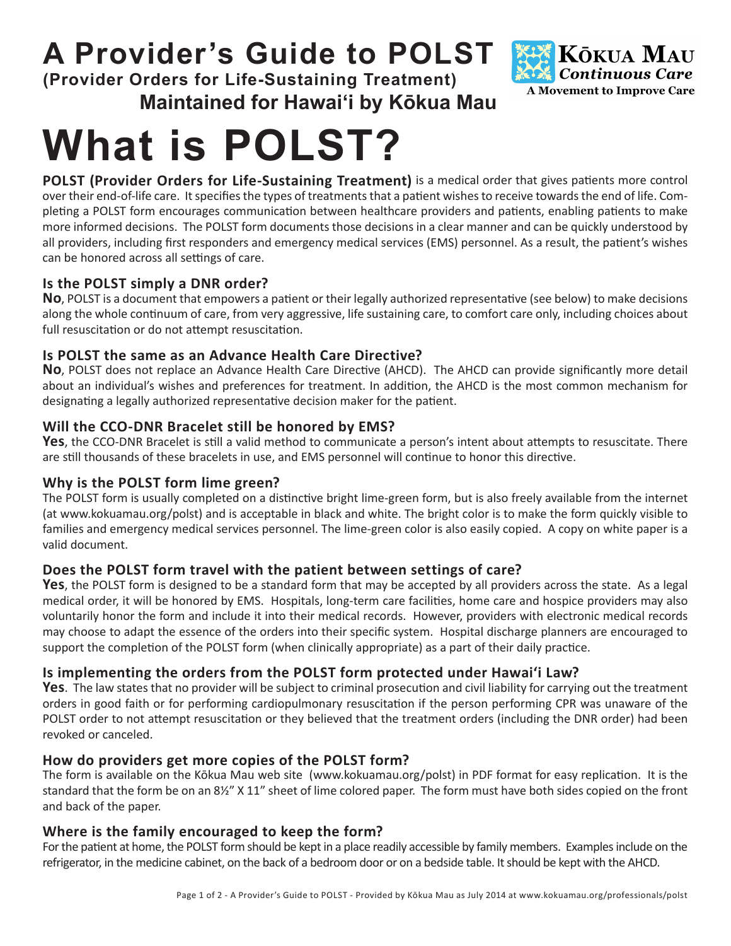# **A Provider's Guide to POLST**

**(Provider Orders for Life-Sustaining Treatment) Maintained for Hawai'i by Kōkua Mau**



# **What is POLST?**

**POLST (Provider Orders for Life-Sustaining Treatment)** is a medical order that gives patients more control over their end-of-life care. It specifies the types of treatments that a patient wishes to receive towards the end of life. Completing a POLST form encourages communication between healthcare providers and patients, enabling patients to make more informed decisions. The POLST form documents those decisions in a clear manner and can be quickly understood by all providers, including first responders and emergency medical services (EMS) personnel. As a result, the patient's wishes can be honored across all settings of care.

# **Is the POLST simply a DNR order?**

**No**, POLST is a document that empowers a patient or their legally authorized representative (see below) to make decisions along the whole continuum of care, from very aggressive, life sustaining care, to comfort care only, including choices about full resuscitation or do not attempt resuscitation.

# **Is POLST the same as an Advance Health Care Directive?**

**No**, POLST does not replace an Advance Health Care Directive (AHCD). The AHCD can provide significantly more detail about an individual's wishes and preferences for treatment. In addition, the AHCD is the most common mechanism for designating a legally authorized representative decision maker for the patient.

# **Will the CCO-DNR Bracelet still be honored by EMS?**

**Yes**, the CCO-DNR Bracelet is still a valid method to communicate a person's intent about attempts to resuscitate. There are still thousands of these bracelets in use, and EMS personnel will continue to honor this directive.

# **Why is the POLST form lime green?**

The POLST form is usually completed on a distinctive bright lime-green form, but is also freely available from the internet (at [www.kokuamau.org/polst\) an](https://www.kokuamau.org/polst)d is acceptable in black and white. The bright color is to make the form quickly visible to families and emergency medical services personnel. The lime-green color is also easily copied. A copy on white paper is a valid document.

# **Does the POLST form travel with the patient between settings of care?**

Yes, the POLST form is designed to be a standard form that may be accepted by all providers across the state. As a legal medical order, it will be honored by EMS. Hospitals, long-term care facilities, home care and hospice providers may also voluntarily honor the form and include it into their medical records. However, providers with electronic medical records may choose to adapt the essence of the orders into their specific system. Hospital discharge planners are encouraged to support the completion of the POLST form (when clinically appropriate) as a part of their daily practice.

# **Is implementing the orders from the POLST form protected under Hawai'i Law?**

Yes. The law states that no provider will be subject to criminal prosecution and civil liability for carrying out the treatment orders in good faith or for performing cardiopulmonary resuscitation if the person performing CPR was unaware of the POLST order to not attempt resuscitation or they believed that the treatment orders (including the DNR order) had been revoked or canceled.

# **How do providers get more copies of the POLST form?**

The form is available on the Kōkua Mau web site [\(www.kokuamau.org/polst\) in](https://www.kokuamau.org/polst) PDF format for easy replication. It is the standard that the form be on an 8½" X 11" sheet of lime colored paper. The form must have both sides copied on the front and back of the paper.

# **Where is the family encouraged to keep the form?**

For the patient at home, the POLST form should be kept in a place readily accessible by family members. Examples include on the refrigerator, in the medicine cabinet, on the back of a bedroom door or on a bedside table. It should be kept with the AHCD.